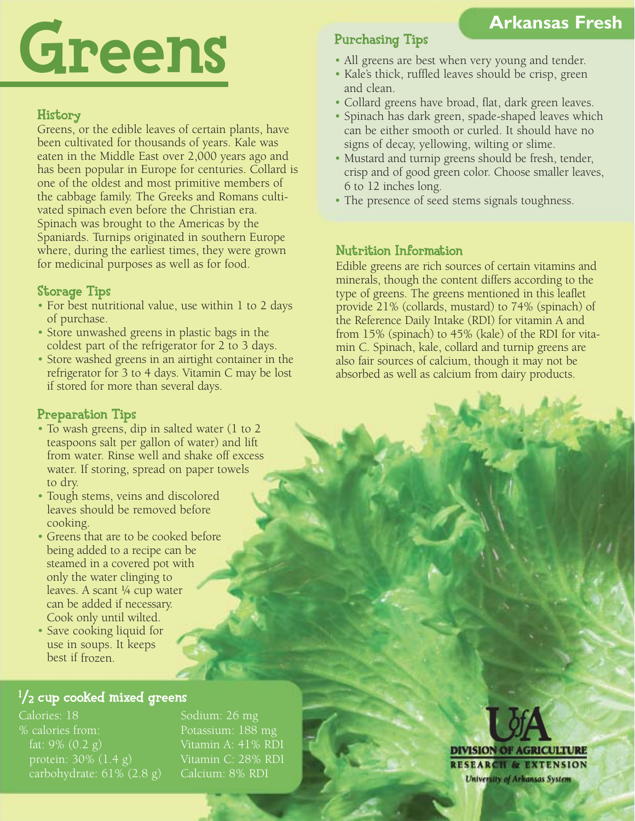# Greens

## History

Greens, or the edible leaves of certain plants, have been cultivated for thousands of years. Kale was eaten in the Middle East over 2,000 years ago and has been popular in Europe for centuries. Collard is one of the oldest and most primitive members of the cabbage family. The Greeks and Romans cultivated spinach even before the Christian era. Spinach was brought to the Americas by the Spaniards. Turnips originated in southern Europe where, during the earliest times, they were grown for medicinal purposes as well as for food.

#### Storage Tips

- For best nutritional value, use within 1 to 2 days of purchase.
- Store unwashed greens in plastic bags in the coldest part of the refrigerator for 2 to 3 days.
- Store washed greens in an airtight container in the refrigerator for 3 to 4 days. Vitamin C may be lost if stored for more than several days.

#### Preparation Tips

- To wash greens, dip in salted water (1 to 2 teaspoons salt per gallon of water) and lift from water. Rinse well and shake off excess water. If storing, spread on paper towels to dry.
- Tough stems, veins and discolored leaves should be removed before cooking.
- Greens that are to be cooked before being added to a recipe can be steamed in a covered pot with only the water clinging to leaves. A scant 1/4 cup water can be added if necessary. Cook only until wilted.
- Save cooking liquid for use in soups. It keeps best if frozen.

# $^{1}\!/_{2}$  cup cooked mixed greens  $^{1}\!/_{2}$

Calories: 18 Sodium: 26 mg % calories from: Potassium: 188 mg fat: 9% (0.2 g) Vitamin A: 41% RDI protein: 30% (1.4 g) Vitamin C: 28% RDI carbohydrate: 61% (2.8 g) Calcium: 8% RDI

# Purchasing Tips

- All greens are best when very young and tender.
- Kale's thick, ruffled leaves should be crisp, green and clean.
- Collard greens have broad, flat, dark green leaves.
- Spinach has dark green, spade-shaped leaves which can be either smooth or curled. It should have no signs of decay, yellowing, wilting or slime.
- Mustard and turnip greens should be fresh, tender, crisp and of good green color. Choose smaller leaves, 6 to 12 inches long.
- The presence of seed stems signals toughness.

### Nutrition Information

Edible greens are rich sources of certain vitamins and minerals, though the content differs according to the type of greens. The greens mentioned in this leaflet provide 21% (collards, mustard) to 74% (spinach) of the Reference Daily Intake (RDI) for vitamin A and from 15% (spinach) to 45% (kale) of the RDI for vitamin C. Spinach, kale, collard and turnip greens are also fair sources of calcium, though it may not be absorbed as well as calcium from dairy products.



# **Arkansas Fresh**